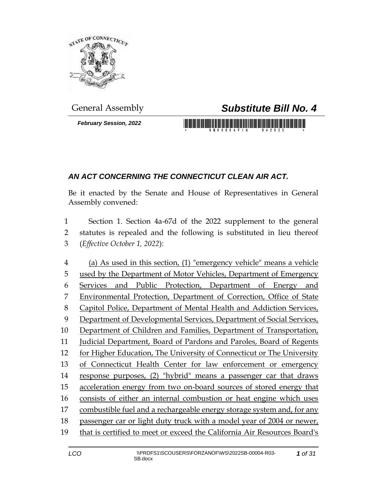

*February Session, 2022*

## General Assembly *Substitute Bill No. 4*

## <u> 1989 - An Dùbhlachd Marwrig Marwr a 1999 - An Dùbhlachd Marwr a 1999 - An Dùbhlachd Marwr a 1999 - An Dùbhlachd Ma</u>

## *AN ACT CONCERNING THE CONNECTICUT CLEAN AIR ACT.*

Be it enacted by the Senate and House of Representatives in General Assembly convened:

 Section 1. Section 4a-67d of the 2022 supplement to the general statutes is repealed and the following is substituted in lieu thereof (*Effective October 1, 2022*):

 (a) As used in this section, (1) "emergency vehicle" means a vehicle used by the Department of Motor Vehicles, Department of Emergency Services and Public Protection, Department of Energy and Environmental Protection, Department of Correction, Office of State Capitol Police, Department of Mental Health and Addiction Services, 9 Department of Developmental Services, Department of Social Services, Department of Children and Families, Department of Transportation, Judicial Department, Board of Pardons and Paroles, Board of Regents for Higher Education, The University of Connecticut or The University of Connecticut Health Center for law enforcement or emergency response purposes, (2) "hybrid" means a passenger car that draws acceleration energy from two on-board sources of stored energy that consists of either an internal combustion or heat engine which uses combustible fuel and a rechargeable energy storage system and, for any passenger car or light duty truck with a model year of 2004 or newer, that is certified to meet or exceed the California Air Resources Board's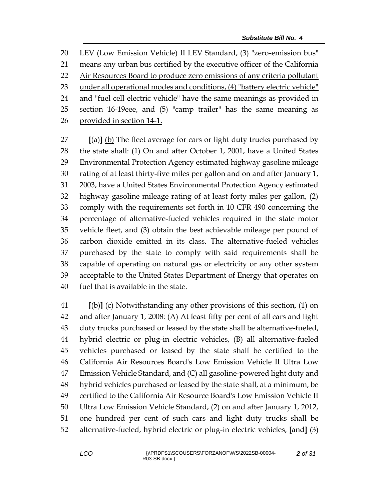LEV (Low Emission Vehicle) II LEV Standard, (3) "zero-emission bus"

means any urban bus certified by the executive officer of the California

22 Air Resources Board to produce zero emissions of any criteria pollutant

under all operational modes and conditions, (4) "battery electric vehicle"

24 and "fuel cell electric vehicle" have the same meanings as provided in

section 16-19eee, and (5) "camp trailer" has the same meaning as

provided in section 14-1.

 **[**(a)**]** (b) The fleet average for cars or light duty trucks purchased by the state shall: (1) On and after October 1, 2001, have a United States Environmental Protection Agency estimated highway gasoline mileage rating of at least thirty-five miles per gallon and on and after January 1, 2003, have a United States Environmental Protection Agency estimated highway gasoline mileage rating of at least forty miles per gallon, (2) comply with the requirements set forth in 10 CFR 490 concerning the percentage of alternative-fueled vehicles required in the state motor vehicle fleet, and (3) obtain the best achievable mileage per pound of carbon dioxide emitted in its class. The alternative-fueled vehicles purchased by the state to comply with said requirements shall be capable of operating on natural gas or electricity or any other system acceptable to the United States Department of Energy that operates on fuel that is available in the state.

 **[**(b)**]** (c) Notwithstanding any other provisions of this section, (1) on and after January 1, 2008: (A) At least fifty per cent of all cars and light duty trucks purchased or leased by the state shall be alternative-fueled, hybrid electric or plug-in electric vehicles, (B) all alternative-fueled vehicles purchased or leased by the state shall be certified to the California Air Resources Board's Low Emission Vehicle II Ultra Low Emission Vehicle Standard, and (C) all gasoline-powered light duty and hybrid vehicles purchased or leased by the state shall, at a minimum, be certified to the California Air Resource Board's Low Emission Vehicle II Ultra Low Emission Vehicle Standard, (2) on and after January 1, 2012, one hundred per cent of such cars and light duty trucks shall be alternative-fueled, hybrid electric or plug-in electric vehicles, **[**and**]** (3)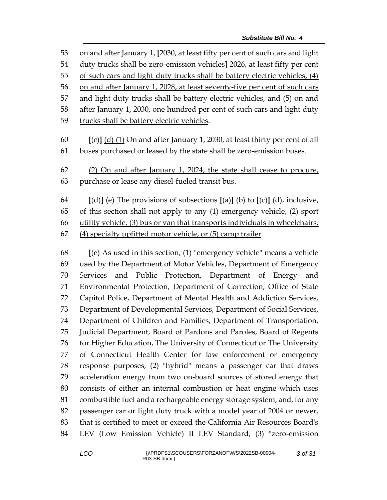on and after January 1, **[**2030, at least fifty per cent of such cars and light duty trucks shall be zero-emission vehicles**]** 2026, at least fifty per cent of such cars and light duty trucks shall be battery electric vehicles, (4) 56 on and after January 1, 2028, at least seventy-five per cent of such cars and light duty trucks shall be battery electric vehicles, and (5) on and after January 1, 2030, one hundred per cent of such cars and light duty trucks shall be battery electric vehicles. **[**(c)**]** (d) (1) On and after January 1, 2030, at least thirty per cent of all buses purchased or leased by the state shall be zero-emission buses. (2) On and after January 1, 2024, the state shall cease to procure, purchase or lease any diesel-fueled transit bus. **[**(d)**]** (e) The provisions of subsections **[**(a)**]** (b) to **[**(c)**]** (d), inclusive, 65 of this section shall not apply to any  $(1)$  emergency vehicle,  $(2)$  sport 66 utility vehicle, (3) bus or van that transports individuals in wheelchairs, (4) specialty upfitted motor vehicle, or (5) camp trailer. **[**(e) As used in this section, (1) "emergency vehicle" means a vehicle used by the Department of Motor Vehicles, Department of Emergency Services and Public Protection, Department of Energy and Environmental Protection, Department of Correction, Office of State Capitol Police, Department of Mental Health and Addiction Services, Department of Developmental Services, Department of Social Services, Department of Children and Families, Department of Transportation, Judicial Department, Board of Pardons and Paroles, Board of Regents 76 for Higher Education, The University of Connecticut or The University

 of Connecticut Health Center for law enforcement or emergency response purposes, (2) "hybrid" means a passenger car that draws acceleration energy from two on-board sources of stored energy that consists of either an internal combustion or heat engine which uses combustible fuel and a rechargeable energy storage system, and, for any passenger car or light duty truck with a model year of 2004 or newer, that is certified to meet or exceed the California Air Resources Board's LEV (Low Emission Vehicle) II LEV Standard, (3) "zero-emission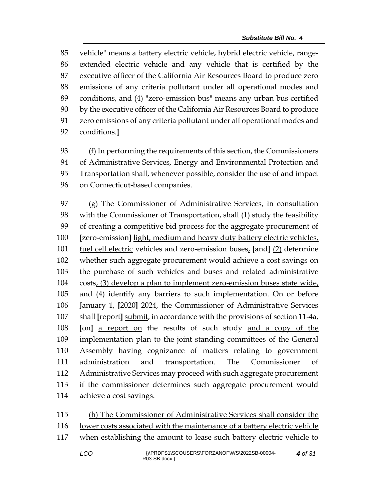vehicle" means a battery electric vehicle, hybrid electric vehicle, range- extended electric vehicle and any vehicle that is certified by the executive officer of the California Air Resources Board to produce zero emissions of any criteria pollutant under all operational modes and conditions, and (4) "zero-emission bus" means any urban bus certified by the executive officer of the California Air Resources Board to produce zero emissions of any criteria pollutant under all operational modes and conditions.**]**

 (f) In performing the requirements of this section, the Commissioners of Administrative Services, Energy and Environmental Protection and Transportation shall, whenever possible, consider the use of and impact on Connecticut-based companies.

 (g) The Commissioner of Administrative Services, in consultation 98 with the Commissioner of Transportation, shall (1) study the feasibility of creating a competitive bid process for the aggregate procurement of **[**zero-emission**]** light, medium and heavy duty battery electric vehicles, fuel cell electric vehicles and zero-emission buses, **[**and**]** (2) determine whether such aggregate procurement would achieve a cost savings on the purchase of such vehicles and buses and related administrative costs, (3) develop a plan to implement zero-emission buses state wide, and (4) identify any barriers to such implementation. On or before January 1, **[**2020**]** 2024, the Commissioner of Administrative Services shall **[**report**]** submit, in accordance with the provisions of section 11-4a, **[**on**]** a report on the results of such study and a copy of the 109 implementation plan to the joint standing committees of the General Assembly having cognizance of matters relating to government administration and transportation. The Commissioner of Administrative Services may proceed with such aggregate procurement if the commissioner determines such aggregate procurement would achieve a cost savings.

| 115 | (h) The Commissioner of Administrative Services shall consider the        |
|-----|---------------------------------------------------------------------------|
| 116 | lower costs associated with the maintenance of a battery electric vehicle |
| 117 | when establishing the amount to lease such battery electric vehicle to    |
|     |                                                                           |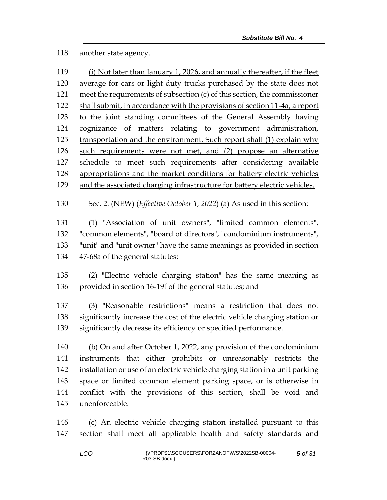## another state agency.

| 119 | (i) Not later than January 1, 2026, and annually thereafter, if the fleet   |  |  |
|-----|-----------------------------------------------------------------------------|--|--|
| 120 | average for cars or light duty trucks purchased by the state does not       |  |  |
| 121 | meet the requirements of subsection $(c)$ of this section, the commissioner |  |  |
| 122 | shall submit, in accordance with the provisions of section 11-4a, a report  |  |  |
| 123 | to the joint standing committees of the General Assembly having             |  |  |
| 124 | cognizance of matters relating to government administration,                |  |  |
| 125 | transportation and the environment. Such report shall (1) explain why       |  |  |
| 126 | such requirements were not met, and (2) propose an alternative              |  |  |
| 127 | schedule to meet such requirements after considering available              |  |  |
| 128 | appropriations and the market conditions for battery electric vehicles      |  |  |
| 129 | and the associated charging infrastructure for battery electric vehicles.   |  |  |

Sec. 2. (NEW) (*Effective October 1, 2022*) (a) As used in this section:

 (1) "Association of unit owners", "limited common elements", "common elements", "board of directors", "condominium instruments", "unit" and "unit owner" have the same meanings as provided in section 47-68a of the general statutes;

 (2) "Electric vehicle charging station" has the same meaning as provided in section 16-19f of the general statutes; and

 (3) "Reasonable restrictions" means a restriction that does not significantly increase the cost of the electric vehicle charging station or significantly decrease its efficiency or specified performance.

 (b) On and after October 1, 2022, any provision of the condominium instruments that either prohibits or unreasonably restricts the installation or use of an electric vehicle charging station in a unit parking space or limited common element parking space, or is otherwise in conflict with the provisions of this section, shall be void and unenforceable.

 (c) An electric vehicle charging station installed pursuant to this section shall meet all applicable health and safety standards and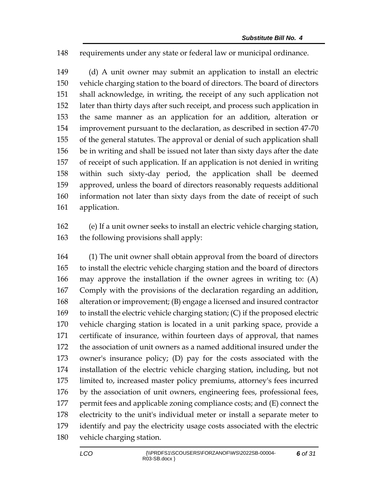requirements under any state or federal law or municipal ordinance.

 (d) A unit owner may submit an application to install an electric vehicle charging station to the board of directors. The board of directors shall acknowledge, in writing, the receipt of any such application not later than thirty days after such receipt, and process such application in the same manner as an application for an addition, alteration or improvement pursuant to the declaration, as described in section 47-70 of the general statutes. The approval or denial of such application shall be in writing and shall be issued not later than sixty days after the date of receipt of such application. If an application is not denied in writing within such sixty-day period, the application shall be deemed approved, unless the board of directors reasonably requests additional information not later than sixty days from the date of receipt of such application.

 (e) If a unit owner seeks to install an electric vehicle charging station, the following provisions shall apply:

 (1) The unit owner shall obtain approval from the board of directors to install the electric vehicle charging station and the board of directors may approve the installation if the owner agrees in writing to: (A) Comply with the provisions of the declaration regarding an addition, alteration or improvement; (B) engage a licensed and insured contractor to install the electric vehicle charging station; (C) if the proposed electric vehicle charging station is located in a unit parking space, provide a certificate of insurance, within fourteen days of approval, that names the association of unit owners as a named additional insured under the owner's insurance policy; (D) pay for the costs associated with the installation of the electric vehicle charging station, including, but not limited to, increased master policy premiums, attorney's fees incurred by the association of unit owners, engineering fees, professional fees, permit fees and applicable zoning compliance costs; and (E) connect the electricity to the unit's individual meter or install a separate meter to identify and pay the electricity usage costs associated with the electric vehicle charging station.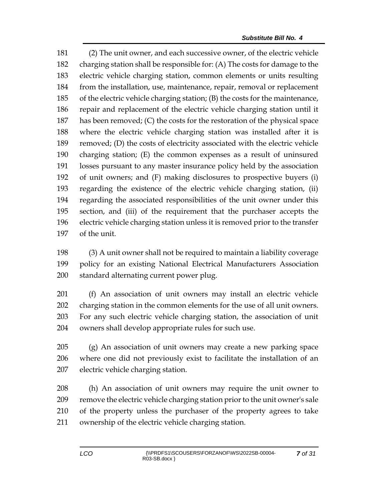(2) The unit owner, and each successive owner, of the electric vehicle charging station shall be responsible for: (A) The costs for damage to the electric vehicle charging station, common elements or units resulting from the installation, use, maintenance, repair, removal or replacement of the electric vehicle charging station; (B) the costs for the maintenance, repair and replacement of the electric vehicle charging station until it has been removed; (C) the costs for the restoration of the physical space where the electric vehicle charging station was installed after it is removed; (D) the costs of electricity associated with the electric vehicle charging station; (E) the common expenses as a result of uninsured losses pursuant to any master insurance policy held by the association of unit owners; and (F) making disclosures to prospective buyers (i) regarding the existence of the electric vehicle charging station, (ii) regarding the associated responsibilities of the unit owner under this section, and (iii) of the requirement that the purchaser accepts the electric vehicle charging station unless it is removed prior to the transfer of the unit.

 (3) A unit owner shall not be required to maintain a liability coverage policy for an existing National Electrical Manufacturers Association standard alternating current power plug.

 (f) An association of unit owners may install an electric vehicle charging station in the common elements for the use of all unit owners. For any such electric vehicle charging station, the association of unit owners shall develop appropriate rules for such use.

 (g) An association of unit owners may create a new parking space where one did not previously exist to facilitate the installation of an electric vehicle charging station.

 (h) An association of unit owners may require the unit owner to remove the electric vehicle charging station prior to the unit owner's sale of the property unless the purchaser of the property agrees to take ownership of the electric vehicle charging station.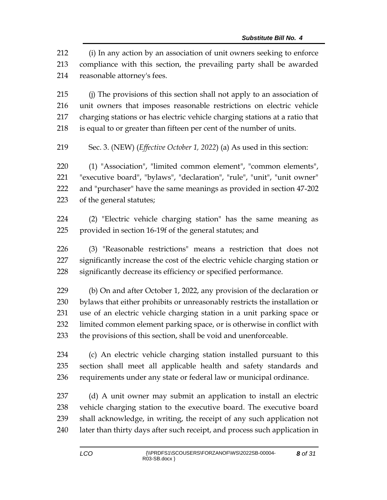(i) In any action by an association of unit owners seeking to enforce compliance with this section, the prevailing party shall be awarded reasonable attorney's fees.

 (j) The provisions of this section shall not apply to an association of unit owners that imposes reasonable restrictions on electric vehicle charging stations or has electric vehicle charging stations at a ratio that is equal to or greater than fifteen per cent of the number of units.

Sec. 3. (NEW) (*Effective October 1, 2022*) (a) As used in this section:

 (1) "Association", "limited common element", "common elements", "executive board", "bylaws", "declaration", "rule", "unit", "unit owner" and "purchaser" have the same meanings as provided in section 47-202 of the general statutes;

 (2) "Electric vehicle charging station" has the same meaning as provided in section 16-19f of the general statutes; and

 (3) "Reasonable restrictions" means a restriction that does not significantly increase the cost of the electric vehicle charging station or significantly decrease its efficiency or specified performance.

 (b) On and after October 1, 2022, any provision of the declaration or bylaws that either prohibits or unreasonably restricts the installation or use of an electric vehicle charging station in a unit parking space or limited common element parking space, or is otherwise in conflict with the provisions of this section, shall be void and unenforceable.

 (c) An electric vehicle charging station installed pursuant to this section shall meet all applicable health and safety standards and requirements under any state or federal law or municipal ordinance.

 (d) A unit owner may submit an application to install an electric vehicle charging station to the executive board. The executive board shall acknowledge, in writing, the receipt of any such application not later than thirty days after such receipt, and process such application in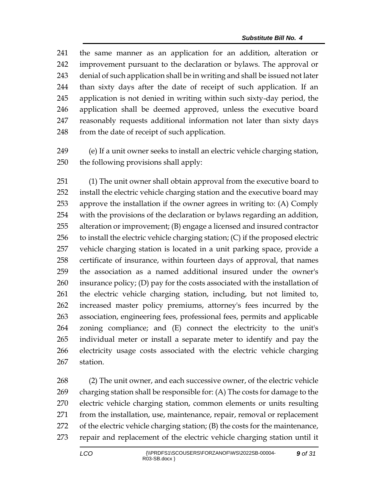the same manner as an application for an addition, alteration or improvement pursuant to the declaration or bylaws. The approval or denial of such application shall be in writing and shall be issued not later than sixty days after the date of receipt of such application. If an application is not denied in writing within such sixty-day period, the application shall be deemed approved, unless the executive board reasonably requests additional information not later than sixty days 248 from the date of receipt of such application.

 (e) If a unit owner seeks to install an electric vehicle charging station, the following provisions shall apply:

 (1) The unit owner shall obtain approval from the executive board to install the electric vehicle charging station and the executive board may approve the installation if the owner agrees in writing to: (A) Comply with the provisions of the declaration or bylaws regarding an addition, alteration or improvement; (B) engage a licensed and insured contractor to install the electric vehicle charging station; (C) if the proposed electric vehicle charging station is located in a unit parking space, provide a certificate of insurance, within fourteen days of approval, that names the association as a named additional insured under the owner's insurance policy; (D) pay for the costs associated with the installation of the electric vehicle charging station, including, but not limited to, increased master policy premiums, attorney's fees incurred by the association, engineering fees, professional fees, permits and applicable zoning compliance; and (E) connect the electricity to the unit's individual meter or install a separate meter to identify and pay the electricity usage costs associated with the electric vehicle charging station.

 (2) The unit owner, and each successive owner, of the electric vehicle charging station shall be responsible for: (A) The costs for damage to the electric vehicle charging station, common elements or units resulting from the installation, use, maintenance, repair, removal or replacement of the electric vehicle charging station; (B) the costs for the maintenance, repair and replacement of the electric vehicle charging station until it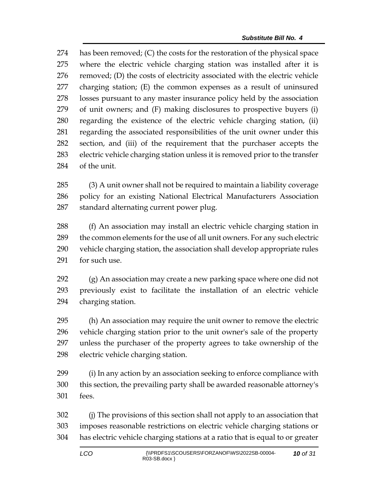has been removed; (C) the costs for the restoration of the physical space where the electric vehicle charging station was installed after it is removed; (D) the costs of electricity associated with the electric vehicle charging station; (E) the common expenses as a result of uninsured losses pursuant to any master insurance policy held by the association of unit owners; and (F) making disclosures to prospective buyers (i) regarding the existence of the electric vehicle charging station, (ii) regarding the associated responsibilities of the unit owner under this section, and (iii) of the requirement that the purchaser accepts the electric vehicle charging station unless it is removed prior to the transfer of the unit.

 (3) A unit owner shall not be required to maintain a liability coverage policy for an existing National Electrical Manufacturers Association standard alternating current power plug.

 (f) An association may install an electric vehicle charging station in the common elements for the use of all unit owners. For any such electric vehicle charging station, the association shall develop appropriate rules 291 for such use.

 (g) An association may create a new parking space where one did not previously exist to facilitate the installation of an electric vehicle charging station.

 (h) An association may require the unit owner to remove the electric vehicle charging station prior to the unit owner's sale of the property unless the purchaser of the property agrees to take ownership of the electric vehicle charging station.

 (i) In any action by an association seeking to enforce compliance with this section, the prevailing party shall be awarded reasonable attorney's fees.

 (j) The provisions of this section shall not apply to an association that imposes reasonable restrictions on electric vehicle charging stations or has electric vehicle charging stations at a ratio that is equal to or greater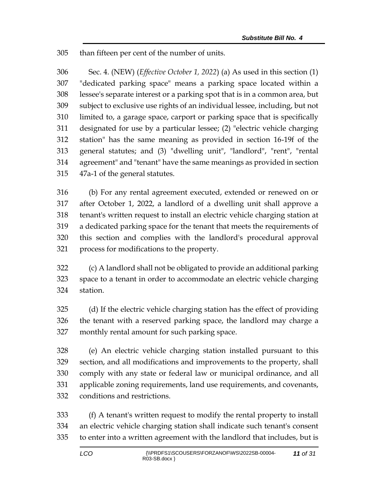than fifteen per cent of the number of units.

 Sec. 4. (NEW) (*Effective October 1, 2022*) (a) As used in this section (1) "dedicated parking space" means a parking space located within a lessee's separate interest or a parking spot that is in a common area, but subject to exclusive use rights of an individual lessee, including, but not limited to, a garage space, carport or parking space that is specifically designated for use by a particular lessee; (2) "electric vehicle charging station" has the same meaning as provided in section 16-19f of the general statutes; and (3) "dwelling unit", "landlord", "rent", "rental agreement" and "tenant" have the same meanings as provided in section 47a-1 of the general statutes.

 (b) For any rental agreement executed, extended or renewed on or after October 1, 2022, a landlord of a dwelling unit shall approve a tenant's written request to install an electric vehicle charging station at a dedicated parking space for the tenant that meets the requirements of this section and complies with the landlord's procedural approval process for modifications to the property.

 (c) A landlord shall not be obligated to provide an additional parking space to a tenant in order to accommodate an electric vehicle charging station.

 (d) If the electric vehicle charging station has the effect of providing the tenant with a reserved parking space, the landlord may charge a monthly rental amount for such parking space.

 (e) An electric vehicle charging station installed pursuant to this section, and all modifications and improvements to the property, shall comply with any state or federal law or municipal ordinance, and all applicable zoning requirements, land use requirements, and covenants, conditions and restrictions.

 (f) A tenant's written request to modify the rental property to install an electric vehicle charging station shall indicate such tenant's consent to enter into a written agreement with the landlord that includes, but is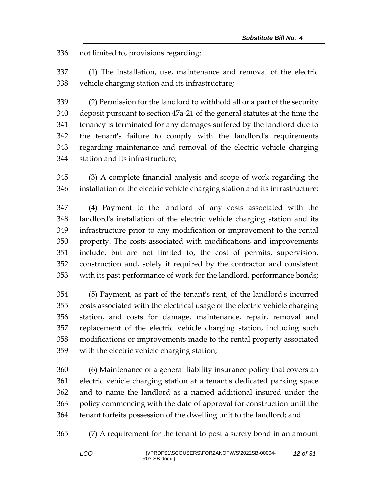not limited to, provisions regarding:

 (1) The installation, use, maintenance and removal of the electric vehicle charging station and its infrastructure;

 (2) Permission for the landlord to withhold all or a part of the security deposit pursuant to section 47a-21 of the general statutes at the time the tenancy is terminated for any damages suffered by the landlord due to the tenant's failure to comply with the landlord's requirements regarding maintenance and removal of the electric vehicle charging station and its infrastructure;

 (3) A complete financial analysis and scope of work regarding the installation of the electric vehicle charging station and its infrastructure;

 (4) Payment to the landlord of any costs associated with the landlord's installation of the electric vehicle charging station and its infrastructure prior to any modification or improvement to the rental property. The costs associated with modifications and improvements include, but are not limited to, the cost of permits, supervision, construction and, solely if required by the contractor and consistent with its past performance of work for the landlord, performance bonds;

 (5) Payment, as part of the tenant's rent, of the landlord's incurred costs associated with the electrical usage of the electric vehicle charging station, and costs for damage, maintenance, repair, removal and replacement of the electric vehicle charging station, including such modifications or improvements made to the rental property associated with the electric vehicle charging station;

 (6) Maintenance of a general liability insurance policy that covers an electric vehicle charging station at a tenant's dedicated parking space and to name the landlord as a named additional insured under the policy commencing with the date of approval for construction until the tenant forfeits possession of the dwelling unit to the landlord; and

(7) A requirement for the tenant to post a surety bond in an amount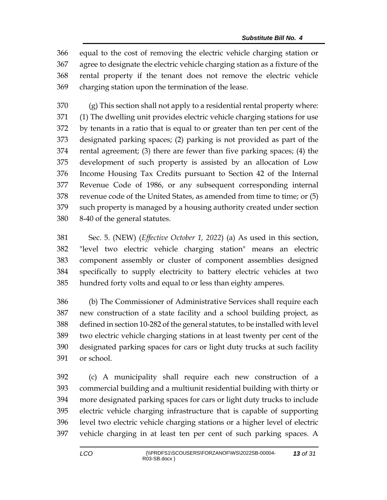equal to the cost of removing the electric vehicle charging station or agree to designate the electric vehicle charging station as a fixture of the rental property if the tenant does not remove the electric vehicle charging station upon the termination of the lease.

 (g) This section shall not apply to a residential rental property where: (1) The dwelling unit provides electric vehicle charging stations for use by tenants in a ratio that is equal to or greater than ten per cent of the designated parking spaces; (2) parking is not provided as part of the rental agreement; (3) there are fewer than five parking spaces; (4) the development of such property is assisted by an allocation of Low Income Housing Tax Credits pursuant to Section 42 of the Internal Revenue Code of 1986, or any subsequent corresponding internal revenue code of the United States, as amended from time to time; or (5) such property is managed by a housing authority created under section 8-40 of the general statutes.

 Sec. 5. (NEW) (*Effective October 1, 2022*) (a) As used in this section, "level two electric vehicle charging station" means an electric component assembly or cluster of component assemblies designed specifically to supply electricity to battery electric vehicles at two hundred forty volts and equal to or less than eighty amperes.

 (b) The Commissioner of Administrative Services shall require each new construction of a state facility and a school building project, as defined in section 10-282 of the general statutes, to be installed with level two electric vehicle charging stations in at least twenty per cent of the designated parking spaces for cars or light duty trucks at such facility or school.

 (c) A municipality shall require each new construction of a commercial building and a multiunit residential building with thirty or more designated parking spaces for cars or light duty trucks to include electric vehicle charging infrastructure that is capable of supporting level two electric vehicle charging stations or a higher level of electric vehicle charging in at least ten per cent of such parking spaces. A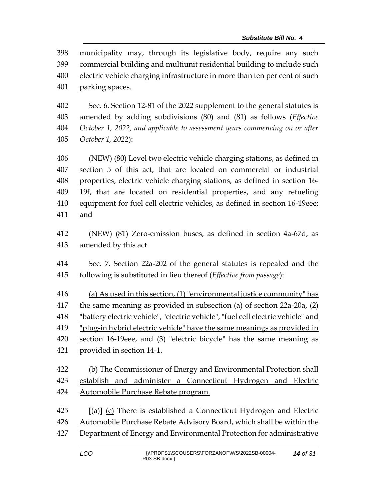municipality may, through its legislative body, require any such commercial building and multiunit residential building to include such electric vehicle charging infrastructure in more than ten per cent of such parking spaces.

 Sec. 6. Section 12-81 of the 2022 supplement to the general statutes is amended by adding subdivisions (80) and (81) as follows (*Effective October 1, 2022, and applicable to assessment years commencing on or after October 1, 2022*):

 (NEW) (80) Level two electric vehicle charging stations, as defined in section 5 of this act, that are located on commercial or industrial properties, electric vehicle charging stations, as defined in section 16- 19f, that are located on residential properties, and any refueling equipment for fuel cell electric vehicles, as defined in section 16-19eee; and

 (NEW) (81) Zero-emission buses, as defined in section 4a-67d, as amended by this act.

 Sec. 7. Section 22a-202 of the general statutes is repealed and the following is substituted in lieu thereof (*Effective from passage*):

 (a) As used in this section, (1) "environmental justice community" has 417 the same meaning as provided in subsection (a) of section 22a-20a, (2) "battery electric vehicle", "electric vehicle", "fuel cell electric vehicle" and "plug-in hybrid electric vehicle" have the same meanings as provided in section 16-19eee, and (3) "electric bicycle" has the same meaning as provided in section 14-1.

 (b) The Commissioner of Energy and Environmental Protection shall establish and administer a Connecticut Hydrogen and Electric Automobile Purchase Rebate program.

 **[**(a)**]** (c) There is established a Connecticut Hydrogen and Electric Automobile Purchase Rebate Advisory Board, which shall be within the Department of Energy and Environmental Protection for administrative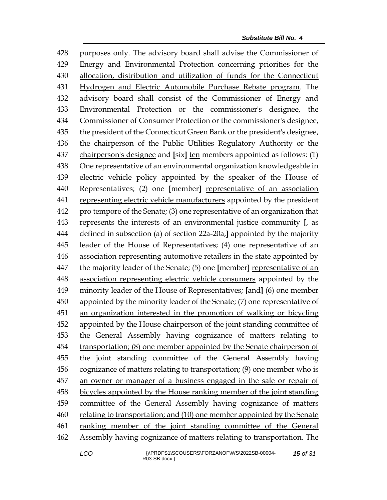purposes only. The advisory board shall advise the Commissioner of Energy and Environmental Protection concerning priorities for the allocation, distribution and utilization of funds for the Connecticut Hydrogen and Electric Automobile Purchase Rebate program. The advisory board shall consist of the Commissioner of Energy and Environmental Protection or the commissioner's designee, the Commissioner of Consumer Protection or the commissioner's designee, the president of the Connecticut Green Bank or the president's designee, 436 the chairperson of the Public Utilities Regulatory Authority or the chairperson's designee and **[**six**]** ten members appointed as follows: (1) One representative of an environmental organization knowledgeable in electric vehicle policy appointed by the speaker of the House of Representatives; (2) one **[**member**]** representative of an association representing electric vehicle manufacturers appointed by the president pro tempore of the Senate; (3) one representative of an organization that represents the interests of an environmental justice community **[**, as defined in subsection (a) of section 22a-20a,**]** appointed by the majority leader of the House of Representatives; (4) one representative of an association representing automotive retailers in the state appointed by the majority leader of the Senate; (5) one **[**member**]** representative of an association representing electric vehicle consumers appointed by the minority leader of the House of Representatives; **[**and**]** (6) one member appointed by the minority leader of the Senate; (7) one representative of an organization interested in the promotion of walking or bicycling appointed by the House chairperson of the joint standing committee of the General Assembly having cognizance of matters relating to transportation; (8) one member appointed by the Senate chairperson of the joint standing committee of the General Assembly having cognizance of matters relating to transportation; (9) one member who is an owner or manager of a business engaged in the sale or repair of bicycles appointed by the House ranking member of the joint standing committee of the General Assembly having cognizance of matters relating to transportation; and (10) one member appointed by the Senate ranking member of the joint standing committee of the General 462 Assembly having cognizance of matters relating to transportation. The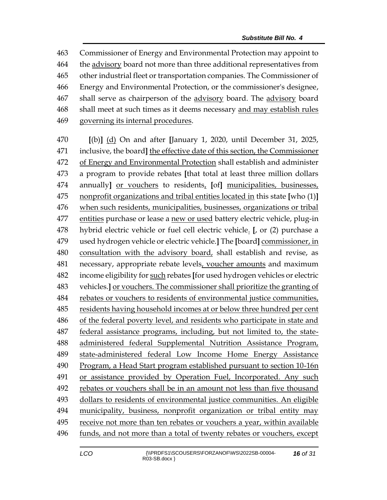Commissioner of Energy and Environmental Protection may appoint to the advisory board not more than three additional representatives from other industrial fleet or transportation companies. The Commissioner of Energy and Environmental Protection, or the commissioner's designee, 467 shall serve as chairperson of the advisory board. The advisory board shall meet at such times as it deems necessary and may establish rules governing its internal procedures.

 **[**(b)**]** (d) On and after **[**January 1, 2020, until December 31, 2025, inclusive, the board**]** the effective date of this section, the Commissioner of Energy and Environmental Protection shall establish and administer a program to provide rebates **[**that total at least three million dollars annually**]** or vouchers to residents, **[**of**]** municipalities, businesses, nonprofit organizations and tribal entities located in this state **[**who (1)**]** when such residents, municipalities, businesses, organizations or tribal entities purchase or lease a new or used battery electric vehicle, plug-in hybrid electric vehicle or fuel cell electric vehicle. **[**, or (2) purchase a used hydrogen vehicle or electric vehicle.**]** The **[**board**]** commissioner, in consultation with the advisory board, shall establish and revise, as necessary, appropriate rebate levels, voucher amounts and maximum income eligibility for such rebates **[**for used hydrogen vehicles or electric vehicles.**]** or vouchers. The commissioner shall prioritize the granting of rebates or vouchers to residents of environmental justice communities, residents having household incomes at or below three hundred per cent of the federal poverty level, and residents who participate in state and federal assistance programs, including, but not limited to, the state- administered federal Supplemental Nutrition Assistance Program, state-administered federal Low Income Home Energy Assistance Program, a Head Start program established pursuant to section 10-16n or assistance provided by Operation Fuel, Incorporated. Any such rebates or vouchers shall be in an amount not less than five thousand dollars to residents of environmental justice communities. An eligible municipality, business, nonprofit organization or tribal entity may receive not more than ten rebates or vouchers a year, within available funds, and not more than a total of twenty rebates or vouchers, except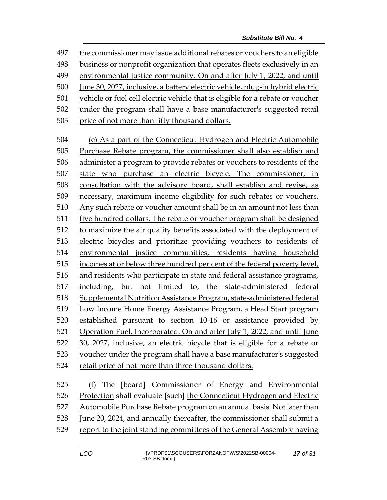the commissioner may issue additional rebates or vouchers to an eligible

business or nonprofit organization that operates fleets exclusively in an

environmental justice community. On and after July 1, 2022, and until

June 30, 2027, inclusive, a battery electric vehicle, plug-in hybrid electric

vehicle or fuel cell electric vehicle that is eligible for a rebate or voucher

under the program shall have a base manufacturer's suggested retail

price of not more than fifty thousand dollars.

 (e) As a part of the Connecticut Hydrogen and Electric Automobile Purchase Rebate program, the commissioner shall also establish and administer a program to provide rebates or vouchers to residents of the state who purchase an electric bicycle. The commissioner, in consultation with the advisory board, shall establish and revise, as necessary, maximum income eligibility for such rebates or vouchers. Any such rebate or voucher amount shall be in an amount not less than five hundred dollars. The rebate or voucher program shall be designed to maximize the air quality benefits associated with the deployment of electric bicycles and prioritize providing vouchers to residents of environmental justice communities, residents having household incomes at or below three hundred per cent of the federal poverty level, and residents who participate in state and federal assistance programs, including, but not limited to, the state-administered federal Supplemental Nutrition Assistance Program, state-administered federal Low Income Home Energy Assistance Program, a Head Start program established pursuant to section 10-16 or assistance provided by Operation Fuel, Incorporated. On and after July 1, 2022, and until June 30, 2027, inclusive, an electric bicycle that is eligible for a rebate or voucher under the program shall have a base manufacturer's suggested retail price of not more than three thousand dollars.

 (f) The **[**board**]** Commissioner of Energy and Environmental Protection shall evaluate **[**such**]** the Connecticut Hydrogen and Electric Automobile Purchase Rebate program on an annual basis. Not later than June 20, 2024, and annually thereafter, the commissioner shall submit a report to the joint standing committees of the General Assembly having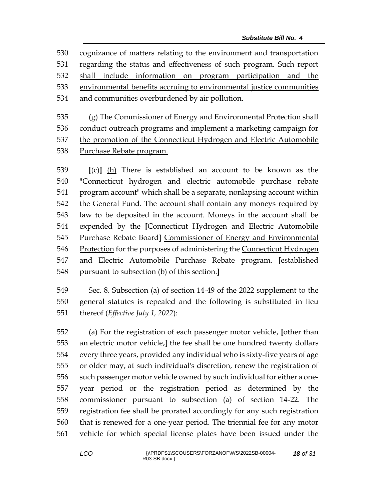cognizance of matters relating to the environment and transportation regarding the status and effectiveness of such program. Such report shall include information on program participation and the environmental benefits accruing to environmental justice communities and communities overburdened by air pollution.

 (g) The Commissioner of Energy and Environmental Protection shall 536 conduct outreach programs and implement a marketing campaign for the promotion of the Connecticut Hydrogen and Electric Automobile Purchase Rebate program.

 **[**(c)**]** (h) There is established an account to be known as the "Connecticut hydrogen and electric automobile purchase rebate program account" which shall be a separate, nonlapsing account within the General Fund. The account shall contain any moneys required by law to be deposited in the account. Moneys in the account shall be expended by the **[**Connecticut Hydrogen and Electric Automobile Purchase Rebate Board**]** Commissioner of Energy and Environmental Protection for the purposes of administering the Connecticut Hydrogen and Electric Automobile Purchase Rebate program. **[**established pursuant to subsection (b) of this section.**]**

 Sec. 8. Subsection (a) of section 14-49 of the 2022 supplement to the general statutes is repealed and the following is substituted in lieu thereof (*Effective July 1, 2022*):

 (a) For the registration of each passenger motor vehicle, **[**other than an electric motor vehicle,**]** the fee shall be one hundred twenty dollars every three years, provided any individual who is sixty-five years of age or older may, at such individual's discretion, renew the registration of such passenger motor vehicle owned by such individual for either a one- year period or the registration period as determined by the commissioner pursuant to subsection (a) of section 14-22. The registration fee shall be prorated accordingly for any such registration that is renewed for a one-year period. The triennial fee for any motor vehicle for which special license plates have been issued under the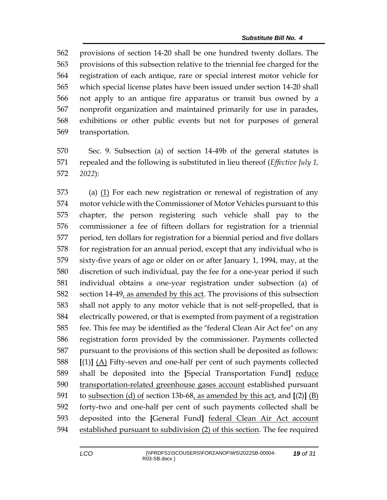provisions of section 14-20 shall be one hundred twenty dollars. The provisions of this subsection relative to the triennial fee charged for the registration of each antique, rare or special interest motor vehicle for which special license plates have been issued under section 14-20 shall not apply to an antique fire apparatus or transit bus owned by a nonprofit organization and maintained primarily for use in parades, exhibitions or other public events but not for purposes of general transportation.

 Sec. 9. Subsection (a) of section 14-49b of the general statutes is repealed and the following is substituted in lieu thereof (*Effective July 1, 2022*):

 (a) (1) For each new registration or renewal of registration of any motor vehicle with the Commissioner of Motor Vehicles pursuant to this chapter, the person registering such vehicle shall pay to the commissioner a fee of fifteen dollars for registration for a triennial period, ten dollars for registration for a biennial period and five dollars for registration for an annual period, except that any individual who is sixty-five years of age or older on or after January 1, 1994, may, at the discretion of such individual, pay the fee for a one-year period if such individual obtains a one-year registration under subsection (a) of 582 section 14-49, as amended by this act. The provisions of this subsection shall not apply to any motor vehicle that is not self-propelled, that is electrically powered, or that is exempted from payment of a registration fee. This fee may be identified as the "federal Clean Air Act fee" on any registration form provided by the commissioner. Payments collected pursuant to the provisions of this section shall be deposited as follows: **[**(1)**]** (A) Fifty-seven and one-half per cent of such payments collected shall be deposited into the **[**Special Transportation Fund**]** reduce 590 transportation-related greenhouse gases account established pursuant to subsection (d) of section 13b-68, as amended by this act, and **[**(2)**]** (B) forty-two and one-half per cent of such payments collected shall be deposited into the **[**General Fund**]** federal Clean Air Act account established pursuant to subdivision (2) of this section. The fee required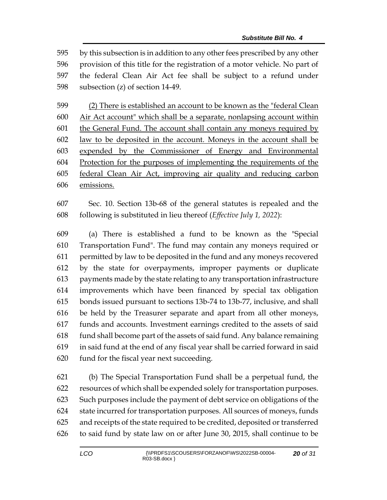by this subsection is in addition to any other fees prescribed by any other provision of this title for the registration of a motor vehicle. No part of the federal Clean Air Act fee shall be subject to a refund under subsection (z) of section 14-49.

 (2) There is established an account to be known as the "federal Clean Air Act account" which shall be a separate, nonlapsing account within the General Fund. The account shall contain any moneys required by law to be deposited in the account. Moneys in the account shall be expended by the Commissioner of Energy and Environmental Protection for the purposes of implementing the requirements of the federal Clean Air Act, improving air quality and reducing carbon emissions.

 Sec. 10. Section 13b-68 of the general statutes is repealed and the following is substituted in lieu thereof (*Effective July 1, 2022*):

 (a) There is established a fund to be known as the "Special Transportation Fund". The fund may contain any moneys required or permitted by law to be deposited in the fund and any moneys recovered by the state for overpayments, improper payments or duplicate payments made by the state relating to any transportation infrastructure improvements which have been financed by special tax obligation bonds issued pursuant to sections 13b-74 to 13b-77, inclusive, and shall be held by the Treasurer separate and apart from all other moneys, funds and accounts. Investment earnings credited to the assets of said fund shall become part of the assets of said fund. Any balance remaining in said fund at the end of any fiscal year shall be carried forward in said fund for the fiscal year next succeeding.

 (b) The Special Transportation Fund shall be a perpetual fund, the resources of which shall be expended solely for transportation purposes. Such purposes include the payment of debt service on obligations of the state incurred for transportation purposes. All sources of moneys, funds and receipts of the state required to be credited, deposited or transferred to said fund by state law on or after June 30, 2015, shall continue to be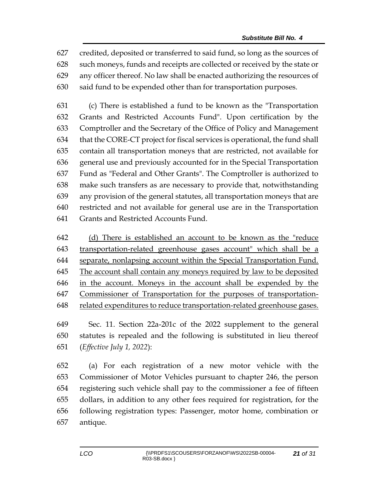credited, deposited or transferred to said fund, so long as the sources of such moneys, funds and receipts are collected or received by the state or any officer thereof. No law shall be enacted authorizing the resources of said fund to be expended other than for transportation purposes.

 (c) There is established a fund to be known as the "Transportation Grants and Restricted Accounts Fund". Upon certification by the Comptroller and the Secretary of the Office of Policy and Management that the CORE-CT project for fiscal services is operational, the fund shall contain all transportation moneys that are restricted, not available for general use and previously accounted for in the Special Transportation Fund as "Federal and Other Grants". The Comptroller is authorized to make such transfers as are necessary to provide that, notwithstanding any provision of the general statutes, all transportation moneys that are restricted and not available for general use are in the Transportation Grants and Restricted Accounts Fund.

 (d) There is established an account to be known as the "reduce transportation-related greenhouse gases account" which shall be a separate, nonlapsing account within the Special Transportation Fund. The account shall contain any moneys required by law to be deposited in the account. Moneys in the account shall be expended by the Commissioner of Transportation for the purposes of transportation-related expenditures to reduce transportation-related greenhouse gases.

 Sec. 11. Section 22a-201c of the 2022 supplement to the general statutes is repealed and the following is substituted in lieu thereof (*Effective July 1, 2022*):

 (a) For each registration of a new motor vehicle with the Commissioner of Motor Vehicles pursuant to chapter 246, the person registering such vehicle shall pay to the commissioner a fee of fifteen dollars, in addition to any other fees required for registration, for the following registration types: Passenger, motor home, combination or antique.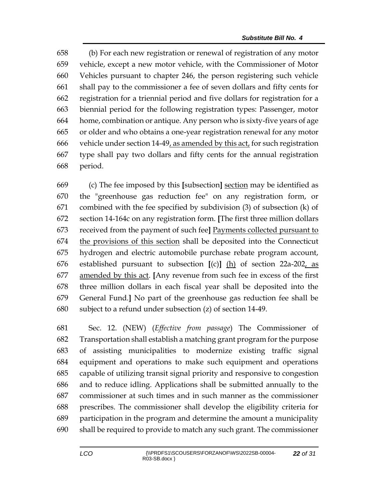(b) For each new registration or renewal of registration of any motor vehicle, except a new motor vehicle, with the Commissioner of Motor Vehicles pursuant to chapter 246, the person registering such vehicle shall pay to the commissioner a fee of seven dollars and fifty cents for registration for a triennial period and five dollars for registration for a biennial period for the following registration types: Passenger, motor home, combination or antique. Any person who is sixty-five years of age or older and who obtains a one-year registration renewal for any motor vehicle under section 14-49, as amended by this act, for such registration type shall pay two dollars and fifty cents for the annual registration period.

 (c) The fee imposed by this **[**subsection**]** section may be identified as the "greenhouse gas reduction fee" on any registration form, or combined with the fee specified by subdivision (3) of subsection (k) of section 14-164c on any registration form. **[**The first three million dollars received from the payment of such fee**]** Payments collected pursuant to the provisions of this section shall be deposited into the Connecticut hydrogen and electric automobile purchase rebate program account, established pursuant to subsection **[**(c)**]** (h) of section 22a-202, as amended by this act. **[**Any revenue from such fee in excess of the first three million dollars in each fiscal year shall be deposited into the General Fund.**]** No part of the greenhouse gas reduction fee shall be subject to a refund under subsection (z) of section 14-49.

 Sec. 12. (NEW) (*Effective from passage*) The Commissioner of Transportation shall establish a matching grant program for the purpose of assisting municipalities to modernize existing traffic signal equipment and operations to make such equipment and operations capable of utilizing transit signal priority and responsive to congestion and to reduce idling. Applications shall be submitted annually to the commissioner at such times and in such manner as the commissioner prescribes. The commissioner shall develop the eligibility criteria for participation in the program and determine the amount a municipality shall be required to provide to match any such grant. The commissioner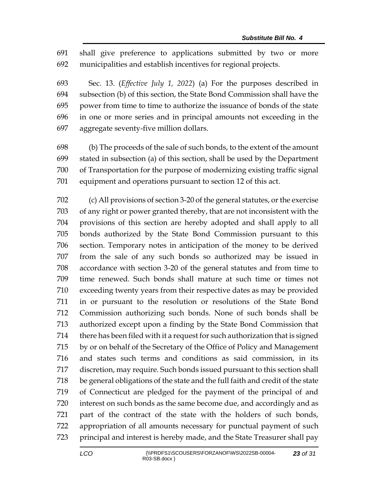shall give preference to applications submitted by two or more municipalities and establish incentives for regional projects.

 Sec. 13. (*Effective July 1, 2022*) (a) For the purposes described in subsection (b) of this section, the State Bond Commission shall have the power from time to time to authorize the issuance of bonds of the state in one or more series and in principal amounts not exceeding in the aggregate seventy-five million dollars.

 (b) The proceeds of the sale of such bonds, to the extent of the amount stated in subsection (a) of this section, shall be used by the Department of Transportation for the purpose of modernizing existing traffic signal equipment and operations pursuant to section 12 of this act.

 (c) All provisions of section 3-20 of the general statutes, or the exercise of any right or power granted thereby, that are not inconsistent with the provisions of this section are hereby adopted and shall apply to all bonds authorized by the State Bond Commission pursuant to this section. Temporary notes in anticipation of the money to be derived from the sale of any such bonds so authorized may be issued in accordance with section 3-20 of the general statutes and from time to time renewed. Such bonds shall mature at such time or times not exceeding twenty years from their respective dates as may be provided in or pursuant to the resolution or resolutions of the State Bond Commission authorizing such bonds. None of such bonds shall be authorized except upon a finding by the State Bond Commission that there has been filed with it a request for such authorization that is signed by or on behalf of the Secretary of the Office of Policy and Management and states such terms and conditions as said commission, in its discretion, may require. Such bonds issued pursuant to this section shall be general obligations of the state and the full faith and credit of the state of Connecticut are pledged for the payment of the principal of and interest on such bonds as the same become due, and accordingly and as part of the contract of the state with the holders of such bonds, appropriation of all amounts necessary for punctual payment of such principal and interest is hereby made, and the State Treasurer shall pay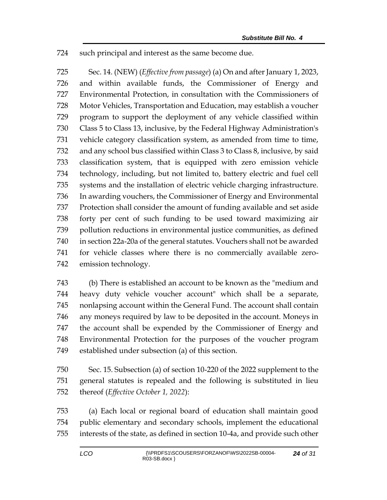such principal and interest as the same become due.

 Sec. 14. (NEW) (*Effective from passage*) (a) On and after January 1, 2023, and within available funds, the Commissioner of Energy and Environmental Protection, in consultation with the Commissioners of Motor Vehicles, Transportation and Education, may establish a voucher program to support the deployment of any vehicle classified within Class 5 to Class 13, inclusive, by the Federal Highway Administration's vehicle category classification system, as amended from time to time, and any school bus classified within Class 3 to Class 8, inclusive, by said classification system, that is equipped with zero emission vehicle technology, including, but not limited to, battery electric and fuel cell systems and the installation of electric vehicle charging infrastructure. In awarding vouchers, the Commissioner of Energy and Environmental Protection shall consider the amount of funding available and set aside forty per cent of such funding to be used toward maximizing air pollution reductions in environmental justice communities, as defined in section 22a-20a of the general statutes. Vouchers shall not be awarded for vehicle classes where there is no commercially available zero-emission technology.

 (b) There is established an account to be known as the "medium and heavy duty vehicle voucher account" which shall be a separate, nonlapsing account within the General Fund. The account shall contain any moneys required by law to be deposited in the account. Moneys in the account shall be expended by the Commissioner of Energy and Environmental Protection for the purposes of the voucher program established under subsection (a) of this section.

 Sec. 15. Subsection (a) of section 10-220 of the 2022 supplement to the general statutes is repealed and the following is substituted in lieu thereof (*Effective October 1, 2022*):

 (a) Each local or regional board of education shall maintain good public elementary and secondary schools, implement the educational interests of the state, as defined in section 10-4a, and provide such other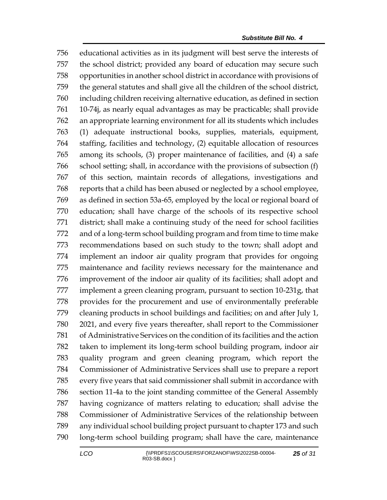educational activities as in its judgment will best serve the interests of the school district; provided any board of education may secure such opportunities in another school district in accordance with provisions of the general statutes and shall give all the children of the school district, including children receiving alternative education, as defined in section 10-74j, as nearly equal advantages as may be practicable; shall provide an appropriate learning environment for all its students which includes (1) adequate instructional books, supplies, materials, equipment, staffing, facilities and technology, (2) equitable allocation of resources among its schools, (3) proper maintenance of facilities, and (4) a safe school setting; shall, in accordance with the provisions of subsection (f) of this section, maintain records of allegations, investigations and reports that a child has been abused or neglected by a school employee, as defined in section 53a-65, employed by the local or regional board of education; shall have charge of the schools of its respective school district; shall make a continuing study of the need for school facilities and of a long-term school building program and from time to time make recommendations based on such study to the town; shall adopt and implement an indoor air quality program that provides for ongoing maintenance and facility reviews necessary for the maintenance and improvement of the indoor air quality of its facilities; shall adopt and implement a green cleaning program, pursuant to section 10-231g, that provides for the procurement and use of environmentally preferable cleaning products in school buildings and facilities; on and after July 1, 2021, and every five years thereafter, shall report to the Commissioner of Administrative Services on the condition of its facilities and the action taken to implement its long-term school building program, indoor air quality program and green cleaning program, which report the Commissioner of Administrative Services shall use to prepare a report every five years that said commissioner shall submit in accordance with section 11-4a to the joint standing committee of the General Assembly having cognizance of matters relating to education; shall advise the Commissioner of Administrative Services of the relationship between any individual school building project pursuant to chapter 173 and such long-term school building program; shall have the care, maintenance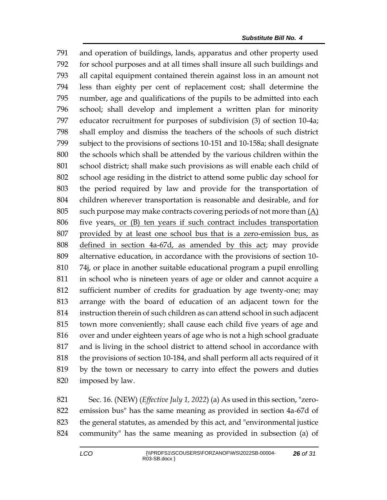and operation of buildings, lands, apparatus and other property used for school purposes and at all times shall insure all such buildings and all capital equipment contained therein against loss in an amount not less than eighty per cent of replacement cost; shall determine the number, age and qualifications of the pupils to be admitted into each school; shall develop and implement a written plan for minority educator recruitment for purposes of subdivision (3) of section 10-4a; shall employ and dismiss the teachers of the schools of such district subject to the provisions of sections 10-151 and 10-158a; shall designate the schools which shall be attended by the various children within the school district; shall make such provisions as will enable each child of school age residing in the district to attend some public day school for the period required by law and provide for the transportation of children wherever transportation is reasonable and desirable, and for 805 such purpose may make contracts covering periods of not more than  $(A)$  five years, or (B) ten years if such contract includes transportation provided by at least one school bus that is a zero-emission bus, as defined in section 4a-67d, as amended by this act; may provide alternative education, in accordance with the provisions of section 10- 74j, or place in another suitable educational program a pupil enrolling in school who is nineteen years of age or older and cannot acquire a sufficient number of credits for graduation by age twenty-one; may arrange with the board of education of an adjacent town for the instruction therein of such children as can attend school in such adjacent town more conveniently; shall cause each child five years of age and over and under eighteen years of age who is not a high school graduate and is living in the school district to attend school in accordance with the provisions of section 10-184, and shall perform all acts required of it by the town or necessary to carry into effect the powers and duties imposed by law.

 Sec. 16. (NEW) (*Effective July 1, 2022*) (a) As used in this section, "zero- emission bus" has the same meaning as provided in section 4a-67d of the general statutes, as amended by this act, and "environmental justice community" has the same meaning as provided in subsection (a) of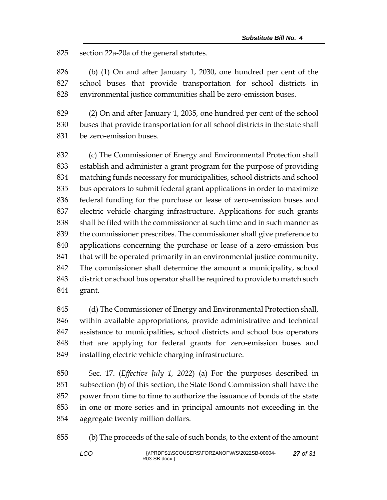section 22a-20a of the general statutes.

 (b) (1) On and after January 1, 2030, one hundred per cent of the school buses that provide transportation for school districts in environmental justice communities shall be zero-emission buses.

 (2) On and after January 1, 2035, one hundred per cent of the school buses that provide transportation for all school districts in the state shall be zero-emission buses.

 (c) The Commissioner of Energy and Environmental Protection shall establish and administer a grant program for the purpose of providing matching funds necessary for municipalities, school districts and school bus operators to submit federal grant applications in order to maximize federal funding for the purchase or lease of zero-emission buses and electric vehicle charging infrastructure. Applications for such grants shall be filed with the commissioner at such time and in such manner as the commissioner prescribes. The commissioner shall give preference to applications concerning the purchase or lease of a zero-emission bus 841 that will be operated primarily in an environmental justice community. The commissioner shall determine the amount a municipality, school district or school bus operator shall be required to provide to match such grant.

 (d) The Commissioner of Energy and Environmental Protection shall, within available appropriations, provide administrative and technical assistance to municipalities, school districts and school bus operators that are applying for federal grants for zero-emission buses and installing electric vehicle charging infrastructure.

 Sec. 17. (*Effective July 1, 2022*) (a) For the purposes described in subsection (b) of this section, the State Bond Commission shall have the power from time to time to authorize the issuance of bonds of the state in one or more series and in principal amounts not exceeding in the aggregate twenty million dollars.

(b) The proceeds of the sale of such bonds, to the extent of the amount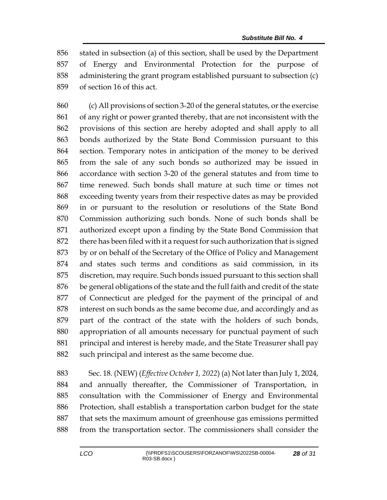stated in subsection (a) of this section, shall be used by the Department of Energy and Environmental Protection for the purpose of administering the grant program established pursuant to subsection (c) of section 16 of this act.

 (c) All provisions of section 3-20 of the general statutes, or the exercise of any right or power granted thereby, that are not inconsistent with the provisions of this section are hereby adopted and shall apply to all bonds authorized by the State Bond Commission pursuant to this section. Temporary notes in anticipation of the money to be derived from the sale of any such bonds so authorized may be issued in accordance with section 3-20 of the general statutes and from time to time renewed. Such bonds shall mature at such time or times not exceeding twenty years from their respective dates as may be provided in or pursuant to the resolution or resolutions of the State Bond Commission authorizing such bonds. None of such bonds shall be authorized except upon a finding by the State Bond Commission that there has been filed with it a request for such authorization that is signed by or on behalf of the Secretary of the Office of Policy and Management and states such terms and conditions as said commission, in its discretion, may require. Such bonds issued pursuant to this section shall be general obligations of the state and the full faith and credit of the state of Connecticut are pledged for the payment of the principal of and interest on such bonds as the same become due, and accordingly and as part of the contract of the state with the holders of such bonds, appropriation of all amounts necessary for punctual payment of such principal and interest is hereby made, and the State Treasurer shall pay 882 such principal and interest as the same become due.

 Sec. 18. (NEW) (*Effective October 1, 2022*) (a) Not later than July 1, 2024, and annually thereafter, the Commissioner of Transportation, in consultation with the Commissioner of Energy and Environmental Protection, shall establish a transportation carbon budget for the state that sets the maximum amount of greenhouse gas emissions permitted from the transportation sector. The commissioners shall consider the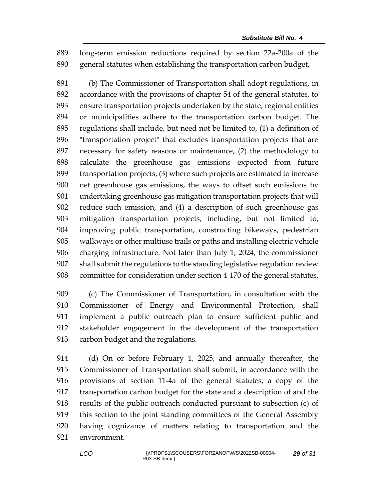long-term emission reductions required by section 22a-200a of the general statutes when establishing the transportation carbon budget.

 (b) The Commissioner of Transportation shall adopt regulations, in accordance with the provisions of chapter 54 of the general statutes, to ensure transportation projects undertaken by the state, regional entities or municipalities adhere to the transportation carbon budget. The regulations shall include, but need not be limited to, (1) a definition of "transportation project" that excludes transportation projects that are necessary for safety reasons or maintenance, (2) the methodology to calculate the greenhouse gas emissions expected from future transportation projects, (3) where such projects are estimated to increase net greenhouse gas emissions, the ways to offset such emissions by undertaking greenhouse gas mitigation transportation projects that will reduce such emission, and (4) a description of such greenhouse gas mitigation transportation projects, including, but not limited to, improving public transportation, constructing bikeways, pedestrian walkways or other multiuse trails or paths and installing electric vehicle charging infrastructure. Not later than July 1, 2024, the commissioner shall submit the regulations to the standing legislative regulation review committee for consideration under section 4-170 of the general statutes.

 (c) The Commissioner of Transportation, in consultation with the Commissioner of Energy and Environmental Protection, shall implement a public outreach plan to ensure sufficient public and stakeholder engagement in the development of the transportation carbon budget and the regulations.

 (d) On or before February 1, 2025, and annually thereafter, the Commissioner of Transportation shall submit, in accordance with the provisions of section 11-4a of the general statutes, a copy of the transportation carbon budget for the state and a description of and the results of the public outreach conducted pursuant to subsection (c) of this section to the joint standing committees of the General Assembly having cognizance of matters relating to transportation and the environment.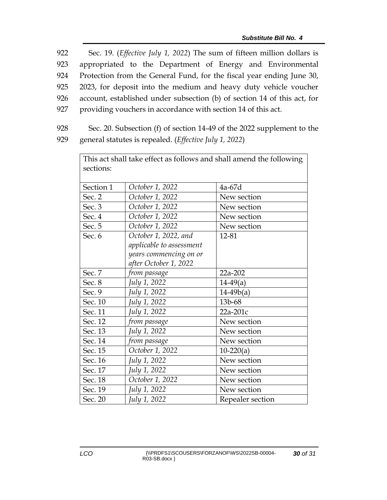Sec. 19. (*Effective July 1, 2022*) The sum of fifteen million dollars is appropriated to the Department of Energy and Environmental Protection from the General Fund, for the fiscal year ending June 30, 2023, for deposit into the medium and heavy duty vehicle voucher account, established under subsection (b) of section 14 of this act, for providing vouchers in accordance with section 14 of this act.

928 Sec. 20. Subsection (f) of section 14-49 of the 2022 supplement to the 929 general statutes is repealed. (*Effective July 1, 2022*)

| This act shall take effect as follows and shall amend the following |                          |                  |  |  |
|---------------------------------------------------------------------|--------------------------|------------------|--|--|
| sections:                                                           |                          |                  |  |  |
|                                                                     |                          |                  |  |  |
| Section 1                                                           | October 1, 2022          | 4a-67d           |  |  |
| Sec. 2                                                              | October 1, 2022          | New section      |  |  |
| Sec. 3                                                              | October 1, 2022          | New section      |  |  |
| Sec. 4                                                              | October 1, 2022          | New section      |  |  |
| Sec. 5                                                              | October 1, 2022          | New section      |  |  |
| Sec. 6                                                              | October 1, 2022, and     | 12-81            |  |  |
|                                                                     | applicable to assessment |                  |  |  |
|                                                                     | years commencing on or   |                  |  |  |
|                                                                     | after October 1, 2022    |                  |  |  |
| Sec. 7                                                              | from passage             | 22a-202          |  |  |
| Sec. 8                                                              | July 1, 2022             | $14-49(a)$       |  |  |
| Sec. 9                                                              | July 1, 2022             | $14-49b(a)$      |  |  |
| Sec. 10                                                             | July 1, 2022             | 13b-68           |  |  |
| Sec. 11                                                             | July 1, 2022             | 22a-201c         |  |  |
| Sec. 12                                                             | from passage             | New section      |  |  |
| Sec. 13                                                             | July 1, 2022             | New section      |  |  |
| Sec. 14                                                             | from passage             | New section      |  |  |
| Sec. 15                                                             | October 1, 2022          | $10-220(a)$      |  |  |
| Sec. 16                                                             | July 1, 2022             | New section      |  |  |
| Sec. 17                                                             | July 1, 2022             | New section      |  |  |
| Sec. 18                                                             | October 1, 2022          | New section      |  |  |
| Sec. 19                                                             | July 1, 2022             | New section      |  |  |
| Sec. 20                                                             | July 1, 2022             | Repealer section |  |  |